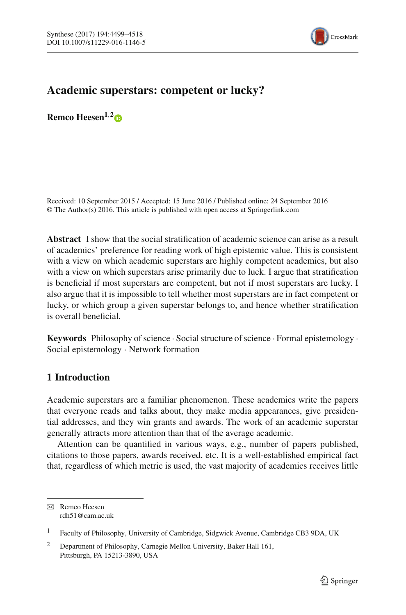

# **Academic superstars: competent or lucky?**

**Remco Heesen1**,**[2](http://orcid.org/0000-0003-3823-944X)**

Received: 10 September 2015 / Accepted: 15 June 2016 / Published online: 24 September 2016 © The Author(s) 2016. This article is published with open access at Springerlink.com

**Abstract** I show that the social stratification of academic science can arise as a result of academics' preference for reading work of high epistemic value. This is consistent with a view on which academic superstars are highly competent academics, but also with a view on which superstars arise primarily due to luck. I argue that stratification is beneficial if most superstars are competent, but not if most superstars are lucky. I also argue that it is impossible to tell whether most superstars are in fact competent or lucky, or which group a given superstar belongs to, and hence whether stratification is overall beneficial.

**Keywords** Philosophy of science · Social structure of science · Formal epistemology · Social epistemology · Network formation

# <span id="page-0-0"></span>**1 Introduction**

Academic superstars are a familiar phenomenon. These academics write the papers that everyone reads and talks about, they make media appearances, give presidential addresses, and they win grants and awards. The work of an academic superstar generally attracts more attention than that of the average academic.

Attention can be quantified in various ways, e.g., number of papers published, citations to those papers, awards received, etc. It is a well-established empirical fact that, regardless of which metric is used, the vast majority of academics receives little

 $\boxtimes$  Remco Heesen rdh51@cam.ac.uk

<sup>1</sup> Faculty of Philosophy, University of Cambridge, Sidgwick Avenue, Cambridge CB3 9DA, UK

<sup>&</sup>lt;sup>2</sup> Department of Philosophy, Carnegie Mellon University, Baker Hall 161, Pittsburgh, PA 15213-3890, USA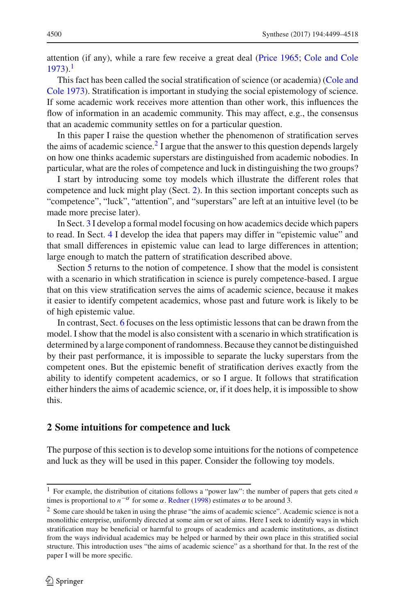attention (if any), while a rare few receive a great deal [\(Price 1965;](#page-18-0) [Cole and Cole](#page-18-1)  $1973$  $1973$ .<sup>1</sup>

T[his](#page-18-1) [fact](#page-18-1) [has](#page-18-1) [been](#page-18-1) [called](#page-18-1) [the](#page-18-1) [social](#page-18-1) [stratification](#page-18-1) [of](#page-18-1) [science](#page-18-1) [\(or](#page-18-1) [academia\)](#page-18-1) [\(](#page-18-1)Cole and Cole [1973\)](#page-18-1). Stratification is important in studying the social epistemology of science. If some academic work receives more attention than other work, this influences the flow of information in an academic community. This may affect, e.g., the consensus that an academic community settles on for a particular question.

In this paper I raise the question whether the phenomenon of stratification serves the aims of academic science.<sup>2</sup> I argue that the answer to this question depends largely on how one thinks academic superstars are distinguished from academic nobodies. In particular, what are the roles of competence and luck in distinguishing the two groups?

I start by introducing some toy models which illustrate the different roles that competence and luck might play (Sect. [2\)](#page-1-2). In this section important concepts such as "competence", "luck", "attention", and "superstars" are left at an intuitive level (to be made more precise later).

In Sect. [3](#page-4-0) I develop a formal model focusing on how academics decide which papers to read. In Sect. [4](#page-7-0) I develop the idea that papers may differ in "epistemic value" and that small differences in epistemic value can lead to large differences in attention; large enough to match the pattern of stratification described above.

Section [5](#page-12-0) returns to the notion of competence. I show that the model is consistent with a scenario in which stratification in science is purely competence-based. I argue that on this view stratification serves the aims of academic science, because it makes it easier to identify competent academics, whose past and future work is likely to be of high epistemic value.

In contrast, Sect. [6](#page-14-0) focuses on the less optimistic lessons that can be drawn from the model. I show that the model is also consistent with a scenario in which stratification is determined by a large component of randomness. Because they cannot be distinguished by their past performance, it is impossible to separate the lucky superstars from the competent ones. But the epistemic benefit of stratification derives exactly from the ability to identify competent academics, or so I argue. It follows that stratification either hinders the aims of academic science, or, if it does help, it is impossible to show this.

#### <span id="page-1-2"></span>**2 Some intuitions for competence and luck**

<span id="page-1-3"></span>The purpose of this section is to develop some intuitions for the notions of competence and luck as they will be used in this paper. Consider the following toy models.

<span id="page-1-0"></span><sup>1</sup> For example, the distribution of citations follows a "power law": the number of papers that gets cited *n* times is proportional to  $n^{-\alpha}$  for some  $\alpha$ . [Redner](#page-19-0) [\(1998\)](#page-19-0) estimates  $\alpha$  to be around 3.

<span id="page-1-1"></span><sup>&</sup>lt;sup>2</sup> Some care should be taken in using the phrase "the aims of academic science". Academic science is not a monolithic enterprise, uniformly directed at some aim or set of aims. Here I seek to identify ways in which stratification may be beneficial or harmful to groups of academics and academic institutions, as distinct from the ways individual academics may be helped or harmed by their own place in this stratified social structure. This introduction uses "the aims of academic science" as a shorthand for that. In the rest of the paper I will be more specific.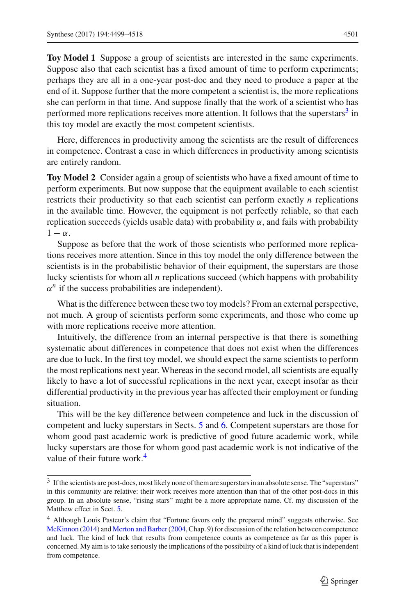**Toy Model 1** Suppose a group of scientists are interested in the same experiments. Suppose also that each scientist has a fixed amount of time to perform experiments; perhaps they are all in a one-year post-doc and they need to produce a paper at the end of it. Suppose further that the more competent a scientist is, the more replications she can perform in that time. And suppose finally that the work of a scientist who has performed more replications receives more attention. It follows that the superstars $3$  in this toy model are exactly the most competent scientists.

Here, differences in productivity among the scientists are the result of differences in competence. Contrast a case in which differences in productivity among scientists are entirely random.

<span id="page-2-2"></span>**Toy Model 2** Consider again a group of scientists who have a fixed amount of time to perform experiments. But now suppose that the equipment available to each scientist restricts their productivity so that each scientist can perform exactly *n* replications in the available time. However, the equipment is not perfectly reliable, so that each replication succeeds (yields usable data) with probability  $\alpha$ , and fails with probability  $1 - \alpha$ .

Suppose as before that the work of those scientists who performed more replications receives more attention. Since in this toy model the only difference between the scientists is in the probabilistic behavior of their equipment, the superstars are those lucky scientists for whom all *n* replications succeed (which happens with probability  $\alpha^n$  if the success probabilities are independent).

What is the difference between these two toy models? From an external perspective, not much. A group of scientists perform some experiments, and those who come up with more replications receive more attention.

Intuitively, the difference from an internal perspective is that there is something systematic about differences in competence that does not exist when the differences are due to luck. In the first toy model, we should expect the same scientists to perform the most replications next year. Whereas in the second model, all scientists are equally likely to have a lot of successful replications in the next year, except insofar as their differential productivity in the previous year has affected their employment or funding situation.

This will be the key difference between competence and luck in the discussion of competent and lucky superstars in Sects. [5](#page-12-0) and [6.](#page-14-0) Competent superstars are those for whom good past academic work is predictive of good future academic work, while lucky superstars are those for whom good past academic work is not indicative of the value of their future work.<sup>[4](#page-2-1)</sup>

<span id="page-2-0"></span><sup>&</sup>lt;sup>3</sup> If the scientists are post-docs, most likely none of them are superstars in an absolute sense. The "superstars" in this community are relative: their work receives more attention than that of the other post-docs in this group. In an absolute sense, "rising stars" might be a more appropriate name. Cf. my discussion of the Matthew effect in Sect. [5.](#page-12-0)

<span id="page-2-1"></span><sup>4</sup> Although Louis Pasteur's claim that "Fortune favors only the prepared mind" suggests otherwise. See [McKinnon](#page-19-1) [\(2014](#page-19-1)) and [Merton and Barber\(2004](#page-19-2), Chap. 9) for discussion of the relation between competence and luck. The kind of luck that results from competence counts as competence as far as this paper is concerned. My aim is to take seriously the implications of the possibility of a kind of luck that is independent from competence.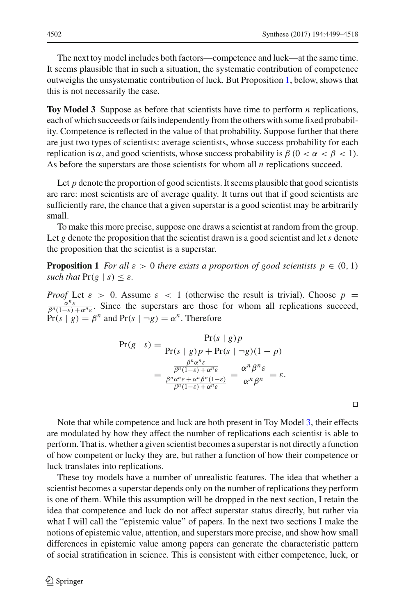The next toy model includes both factors—competence and luck—at the same time. It seems plausible that in such a situation, the systematic contribution of competence outweighs the unsystematic contribution of luck. But Proposition [1,](#page-3-0) below, shows that this is not necessarily the case.

<span id="page-3-1"></span>**Toy Model 3** Suppose as before that scientists have time to perform *n* replications, each of which succeeds or fails independently from the others with some fixed probability. Competence is reflected in the value of that probability. Suppose further that there are just two types of scientists: average scientists, whose success probability for each replication is α, and good scientists, whose success probability is  $β$  (0 <  $α < β < 1$ ). As before the superstars are those scientists for whom all *n* replications succeed.

Let  $p$  denote the proportion of good scientists. It seems plausible that good scientists are rare: most scientists are of average quality. It turns out that if good scientists are sufficiently rare, the chance that a given superstar is a good scientist may be arbitrarily small.

To make this more precise, suppose one draws a scientist at random from the group. Let  $g$  denote the proposition that the scientist drawn is a good scientist and let  $s$  denote the proposition that the scientist is a superstar.

**Proposition 1** *For all*  $\varepsilon > 0$  *there exists a proportion of good scientists*  $p \in (0, 1)$ *such that*  $Pr(g | s) < \varepsilon$ *.* 

*Proof* Let  $\varepsilon > 0$ . Assume  $\varepsilon < 1$  (otherwise the result is trivial). Choose  $p = \frac{\alpha^n \varepsilon}{\beta^n (1-\varepsilon) + \alpha^n \varepsilon}$ . Since the superstars are those for whom all replications succeed,  $Pr(s | g) = \beta^n$  and  $Pr(s | \neg g) = \alpha^n$ . Therefore

<span id="page-3-0"></span>
$$
\Pr(g \mid s) = \frac{\Pr(s \mid g)p}{\Pr(s \mid g)p + \Pr(s \mid \neg g)(1 - p)}
$$

$$
= \frac{\frac{\beta^n \alpha^n \varepsilon}{\beta^n (1 - \varepsilon) + \alpha^n \varepsilon}}{\frac{\beta^n \alpha^n \varepsilon + \alpha^n \beta^n (1 - \varepsilon)}{\beta^n (1 - \varepsilon) + \alpha^n \varepsilon}} = \frac{\alpha^n \beta^n \varepsilon}{\alpha^n \beta^n} = \varepsilon.
$$

 $\Box$ 

Note that while competence and luck are both present in Toy Model [3,](#page-3-1) their effects are modulated by how they affect the number of replications each scientist is able to perform. That is, whether a given scientist becomes a superstar is not directly a function of how competent or lucky they are, but rather a function of how their competence or luck translates into replications.

These toy models have a number of unrealistic features. The idea that whether a scientist becomes a superstar depends only on the number of replications they perform is one of them. While this assumption will be dropped in the next section, I retain the idea that competence and luck do not affect superstar status directly, but rather via what I will call the "epistemic value" of papers. In the next two sections I make the notions of epistemic value, attention, and superstars more precise, and show how small differences in epistemic value among papers can generate the characteristic pattern of social stratification in science. This is consistent with either competence, luck, or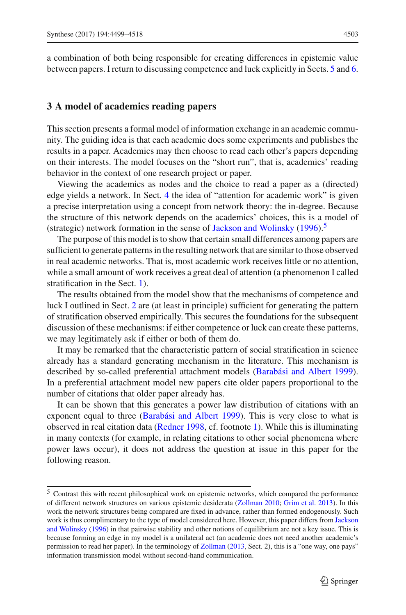a combination of both being responsible for creating differences in epistemic value between papers. I return to discussing competence and luck explicitly in Sects. [5](#page-12-0) and [6.](#page-14-0)

## <span id="page-4-0"></span>**3 A model of academics reading papers**

This section presents a formal model of information exchange in an academic community. The guiding idea is that each academic does some experiments and publishes the results in a paper. Academics may then choose to read each other's papers depending on their interests. The model focuses on the "short run", that is, academics' reading behavior in the context of one research project or paper.

Viewing the academics as nodes and the choice to read a paper as a (directed) edge yields a network. In Sect. [4](#page-7-0) the idea of "attention for academic work" is given a precise interpretation using a concept from network theory: the in-degree. Because the structure of this network depends on the academics' choices, this is a model of (strategic) network formation in the sense of [Jackson and Wolinsky](#page-18-2) [\(1996](#page-18-2)).<sup>[5](#page-4-1)</sup>

The purpose of this model is to show that certain small differences among papers are sufficient to generate patterns in the resulting network that are similar to those observed in real academic networks. That is, most academic work receives little or no attention, while a small amount of work receives a great deal of attention (a phenomenon I called stratification in the Sect. [1\)](#page-0-0).

The results obtained from the model show that the mechanisms of competence and luck I outlined in Sect. [2](#page-1-2) are (at least in principle) sufficient for generating the pattern of stratification observed empirically. This secures the foundations for the subsequent discussion of these mechanisms: if either competence or luck can create these patterns, we may legitimately ask if either or both of them do.

It may be remarked that the characteristic pattern of social stratification in science already has a standard generating mechanism in the literature. This mechanism is described by so-called preferential attachment models [\(Barabási and Albert 1999](#page-18-3)). In a preferential attachment model new papers cite older papers proportional to the number of citations that older paper already has.

It can be shown that this generates a power law distribution of citations with an exponent equal to three [\(Barabási and Albert 1999](#page-18-3)). This is very close to what is observed in real citation data [\(Redner 1998](#page-19-0), cf. footnote [1\)](#page-1-0). While this is illuminating in many contexts (for example, in relating citations to other social phenomena where power laws occur), it does not address the question at issue in this paper for the following reason.

<span id="page-4-1"></span><sup>5</sup> Contrast this with recent philosophical work on epistemic networks, which compared the performance of different network structures on various epistemic desiderata [\(Zollman 2010;](#page-19-3) [Grim et al. 2013\)](#page-18-4). In this work the network structures being compared are fixed in advance, rather than formed endogenously. Such work is thus [complimentary](#page-18-2) [to](#page-18-2) [the](#page-18-2) [type](#page-18-2) [of](#page-18-2) [model](#page-18-2) [considered](#page-18-2) [here.](#page-18-2) [However,](#page-18-2) [this](#page-18-2) [paper](#page-18-2) [differs](#page-18-2) [from](#page-18-2) Jackson and Wolinsky [\(1996](#page-18-2)) in that pairwise stability and other notions of equilibrium are not a key issue. This is because forming an edge in my model is a unilateral act (an academic does not need another academic's permission to read her paper). In the terminology of [Zollman](#page-19-4) [\(2013,](#page-19-4) Sect. 2), this is a "one way, one pays" information transmission model without second-hand communication.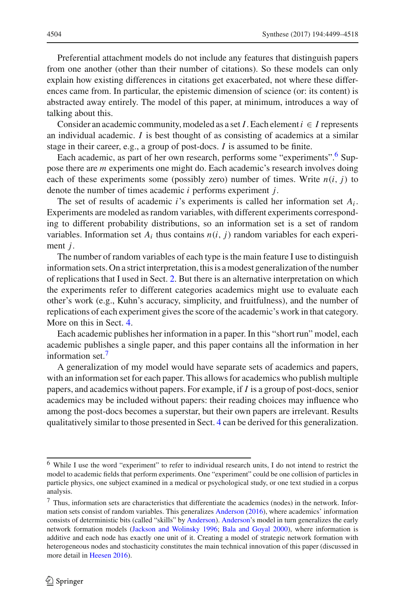Preferential attachment models do not include any features that distinguish papers from one another (other than their number of citations). So these models can only explain how existing differences in citations get exacerbated, not where these differences came from. In particular, the epistemic dimension of science (or: its content) is abstracted away entirely. The model of this paper, at minimum, introduces a way of talking about this.

Consider an academic community, modeled as a set *I*. Each element  $i \in I$  represents an individual academic. *I* is best thought of as consisting of academics at a similar stage in their career, e.g., a group of post-docs. *I* is assumed to be finite.

Each academic, as part of her own research, performs some "experiments".<sup>6</sup> Suppose there are *m* experiments one might do. Each academic's research involves doing each of these experiments some (possibly zero) number of times. Write  $n(i, j)$  to denote the number of times academic *i* performs experiment *j*.

The set of results of academic *i*'s experiments is called her information set  $A_i$ . Experiments are modeled as random variables, with different experiments corresponding to different probability distributions, so an information set is a set of random variables. Information set  $A_i$  thus contains  $n(i, j)$  random variables for each experiment *j*.

The number of random variables of each type is the main feature I use to distinguish information sets. On a strict interpretation, this is a modest generalization of the number of replications that I used in Sect. [2.](#page-1-2) But there is an alternative interpretation on which the experiments refer to different categories academics might use to evaluate each other's work (e.g., Kuhn's accuracy, simplicity, and fruitfulness), and the number of replications of each experiment gives the score of the academic's work in that category. More on this in Sect. [4.](#page-7-0)

Each academic publishes her information in a paper. In this "short run" model, each academic publishes a single paper, and this paper contains all the information in her information set.<sup>[7](#page-5-1)</sup>

A generalization of my model would have separate sets of academics and papers, with an information set for each paper. This allows for academics who publish multiple papers, and academics without papers. For example, if *I* is a group of post-docs, senior academics may be included without papers: their reading choices may influence who among the post-docs becomes a superstar, but their own papers are irrelevant. Results qualitatively similar to those presented in Sect. [4](#page-7-0) can be derived for this generalization.

<span id="page-5-0"></span><sup>6</sup> While I use the word "experiment" to refer to individual research units, I do not intend to restrict the model to academic fields that perform experiments. One "experiment" could be one collision of particles in particle physics, one subject examined in a medical or psychological study, or one text studied in a corpus analysis.

<span id="page-5-1"></span><sup>7</sup> Thus, information sets are characteristics that differentiate the academics (nodes) in the network. Information sets consist of random variables. This generalizes [Anderson](#page-18-5) [\(2016\)](#page-18-5), where academics' information consists of deterministic bits (called "skills" by [Anderson](#page-18-5)). [Anderson'](#page-18-5)s model in turn generalizes the early network formation models [\(Jackson and Wolinsky 1996;](#page-18-2) [Bala and Goyal 2000\)](#page-18-6), where information is additive and each node has exactly one unit of it. Creating a model of strategic network formation with heterogeneous nodes and stochasticity constitutes the main technical innovation of this paper (discussed in more detail in [Heesen 2016](#page-18-7)).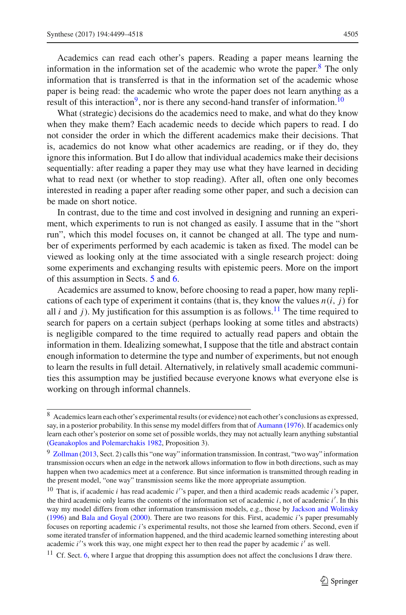Academics can read each other's papers. Reading a paper means learning the information in the information set of the academic who wrote the paper.<sup>[8](#page-6-0)</sup> The only information that is transferred is that in the information set of the academic whose paper is being read: the academic who wrote the paper does not learn anything as a result of this interaction<sup>9</sup>, nor is there any second-hand transfer of information.<sup>10</sup>

What (strategic) decisions do the academics need to make, and what do they know when they make them? Each academic needs to decide which papers to read. I do not consider the order in which the different academics make their decisions. That is, academics do not know what other academics are reading, or if they do, they ignore this information. But I do allow that individual academics make their decisions sequentially: after reading a paper they may use what they have learned in deciding what to read next (or whether to stop reading). After all, often one only becomes interested in reading a paper after reading some other paper, and such a decision can be made on short notice.

In contrast, due to the time and cost involved in designing and running an experiment, which experiments to run is not changed as easily. I assume that in the "short run", which this model focuses on, it cannot be changed at all. The type and number of experiments performed by each academic is taken as fixed. The model can be viewed as looking only at the time associated with a single research project: doing some experiments and exchanging results with epistemic peers. More on the import of this assumption in Sects. [5](#page-12-0) and [6.](#page-14-0)

Academics are assumed to know, before choosing to read a paper, how many replications of each type of experiment it contains (that is, they know the values  $n(i, j)$  for all *i* and *j*). My justification for this assumption is as follows.<sup>11</sup> The time required to search for papers on a certain subject (perhaps looking at some titles and abstracts) is negligible compared to the time required to actually read papers and obtain the information in them. Idealizing somewhat, I suppose that the title and abstract contain enough information to determine the type and number of experiments, but not enough to learn the results in full detail. Alternatively, in relatively small academic communities this assumption may be justified because everyone knows what everyone else is working on through informal channels.

<span id="page-6-0"></span><sup>8</sup> Academics learn each other's experimental results (or evidence) not each other's conclusions as expressed, say, in a posterior probability. In this sense my model differs from that of [Aumann](#page-18-8) [\(1976](#page-18-8)). If academics only learn each other's posterior on some set of possible worlds, they may not actually learn anything substantial [\(Geanakoplos and Polemarchakis 1982](#page-18-9), Proposition 3).

<span id="page-6-1"></span><sup>&</sup>lt;sup>9</sup> [Zollman](#page-19-4) [\(2013,](#page-19-4) Sect. 2) calls this "one way" information transmission. In contrast, "two way" information transmission occurs when an edge in the network allows information to flow in both directions, such as may happen when two academics meet at a conference. But since information is transmitted through reading in the present model, "one way" transmission seems like the more appropriate assumption.

<span id="page-6-2"></span><sup>10</sup> That is, if academic *i* has read academic *i* 's paper, and then a third academic reads academic *i*'s paper, the third academic only learns the contents of the information set of academic *i*, not of academic *i* . In this way my model differs from other information transmission models, e.g., those by [Jackson and Wolinsky](#page-18-2) [\(1996](#page-18-2)) and [Bala and Goyal](#page-18-6) [\(2000\)](#page-18-6). There are two reasons for this. First, academic *i*'s paper presumably focuses on reporting academic *i*'s experimental results, not those she learned from others. Second, even if some iterated transfer of information happened, and the third academic learned something interesting about academic *i*'s work this way, one might expect her to then read the paper by academic *i*' as well.

<span id="page-6-3"></span> $11$  Cf. Sect. [6,](#page-14-0) where I argue that dropping this assumption does not affect the conclusions I draw there.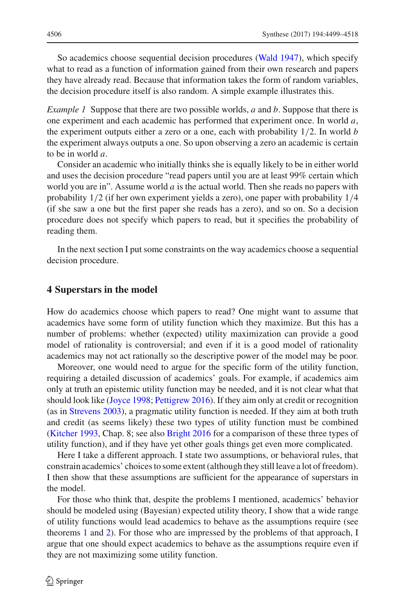So academics choose sequential decision procedures [\(Wald 1947](#page-19-5)), which specify what to read as a function of information gained from their own research and papers they have already read. Because that information takes the form of random variables, the decision procedure itself is also random. A simple example illustrates this.

*Example 1* Suppose that there are two possible worlds, *a* and *b*. Suppose that there is one experiment and each academic has performed that experiment once. In world *a*, the experiment outputs either a zero or a one, each with probability 1/2. In world *b* the experiment always outputs a one. So upon observing a zero an academic is certain to be in world *a*.

Consider an academic who initially thinks she is equally likely to be in either world and uses the decision procedure "read papers until you are at least 99% certain which world you are in". Assume world *a* is the actual world. Then she reads no papers with probability 1/2 (if her own experiment yields a zero), one paper with probability 1/4 (if she saw a one but the first paper she reads has a zero), and so on. So a decision procedure does not specify which papers to read, but it specifies the probability of reading them.

In the next section I put some constraints on the way academics choose a sequential decision procedure.

#### <span id="page-7-0"></span>**4 Superstars in the model**

How do academics choose which papers to read? One might want to assume that academics have some form of utility function which they maximize. But this has a number of problems: whether (expected) utility maximization can provide a good model of rationality is controversial; and even if it is a good model of rationality academics may not act rationally so the descriptive power of the model may be poor.

Moreover, one would need to argue for the specific form of the utility function, requiring a detailed discussion of academics' goals. For example, if academics aim only at truth an epistemic utility function may be needed, and it is not clear what that should look like [\(Joyce 1998](#page-18-10); [Pettigrew 2016](#page-19-6)). If they aim only at credit or recognition (as in [Strevens 2003](#page-19-7)), a pragmatic utility function is needed. If they aim at both truth and credit (as seems likely) these two types of utility function must be combined [\(Kitcher 1993](#page-18-11), Chap. 8; see also [Bright 2016](#page-18-12) for a comparison of these three types of utility function), and if they have yet other goals things get even more complicated.

Here I take a different approach. I state two assumptions, or behavioral rules, that constrain academics' choices to some extent (although they still leave a lot of freedom). I then show that these assumptions are sufficient for the appearance of superstars in the model.

For those who think that, despite the problems I mentioned, academics' behavior should be modeled using (Bayesian) expected utility theory, I show that a wide range of utility functions would lead academics to behave as the assumptions require (see theorems [1](#page-9-0) and [2\)](#page-10-0). For those who are impressed by the problems of that approach, I argue that one should expect academics to behave as the assumptions require even if they are not maximizing some utility function.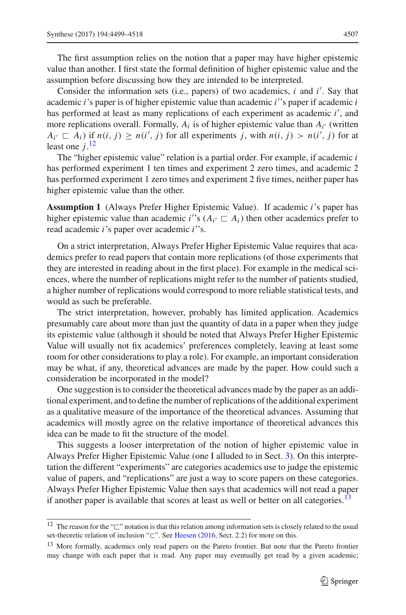The first assumption relies on the notion that a paper may have higher epistemic value than another. I first state the formal definition of higher epistemic value and the assumption before discussing how they are intended to be interpreted.

Consider the information sets (i.e., papers) of two academics, *i* and *i* . Say that academic *i*'s paper is of higher epistemic value than academic *i* 's paper if academic *i* has performed at least as many replications of each experiment as academic *i* , and more replications overall. Formally,  $A_i$  is of higher epistemic value than  $A_i$  (written  $A_{i'} \nsubseteq A_i$ ) if  $n(i, j) \geq n(i', j)$  for all experiments *j*, with  $n(i, j) > n(i', j)$  for at least one  $j$ <sup>[12](#page-8-0)</sup>

The "higher epistemic value" relation is a partial order. For example, if academic *i* has performed experiment 1 ten times and experiment 2 zero times, and academic 2 has performed experiment 1 zero times and experiment 2 five times, neither paper has higher epistemic value than the other.

**Assumption 1** (Always Prefer Higher Epistemic Value). If academic *i*'s paper has higher epistemic value than academic *i*'s  $(A_i \subseteq A_i)$  then other academics prefer to read academic *i*'s paper over academic *i* 's.

On a strict interpretation, Always Prefer Higher Epistemic Value requires that academics prefer to read papers that contain more replications (of those experiments that they are interested in reading about in the first place). For example in the medical sciences, where the number of replications might refer to the number of patients studied, a higher number of replications would correspond to more reliable statistical tests, and would as such be preferable.

The strict interpretation, however, probably has limited application. Academics presumably care about more than just the quantity of data in a paper when they judge its epistemic value (although it should be noted that Always Prefer Higher Epistemic Value will usually not fix academics' preferences completely, leaving at least some room for other considerations to play a role). For example, an important consideration may be what, if any, theoretical advances are made by the paper. How could such a consideration be incorporated in the model?

One suggestion is to consider the theoretical advances made by the paper as an additional experiment, and to define the number of replications of the additional experiment as a qualitative measure of the importance of the theoretical advances. Assuming that academics will mostly agree on the relative importance of theoretical advances this idea can be made to fit the structure of the model.

This suggests a looser interpretation of the notion of higher epistemic value in Always Prefer Higher Epistemic Value (one I alluded to in Sect. [3\)](#page-4-0). On this interpretation the different "experiments" are categories academics use to judge the epistemic value of papers, and "replications" are just a way to score papers on these categories. Always Prefer Higher Epistemic Value then says that academics will not read a paper if another paper is available that scores at least as well or better on all categories.<sup>13</sup>

<span id="page-8-0"></span><sup>&</sup>lt;sup>12</sup> The reason for the " $\Box$ " notation is that this relation among information sets is closely related to the usual set-theoretic relation of inclusion "⊂". See [Heesen](#page-18-7) [\(2016](#page-18-7), Sect. 2.2) for more on this.

<span id="page-8-1"></span><sup>&</sup>lt;sup>13</sup> More formally, academics only read papers on the Pareto frontier. But note that the Pareto frontier may change with each paper that is read. Any paper may eventually get read by a given academic;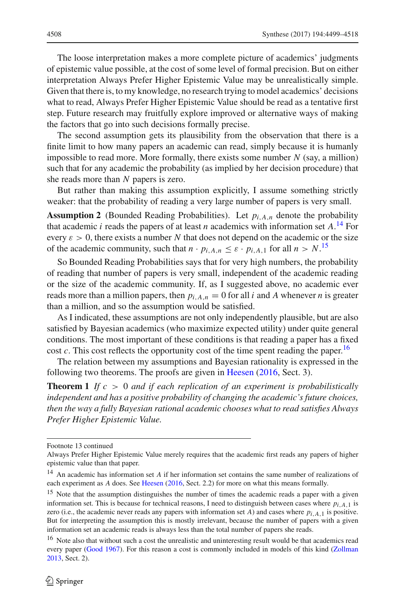The loose interpretation makes a more complete picture of academics' judgments of epistemic value possible, at the cost of some level of formal precision. But on either interpretation Always Prefer Higher Epistemic Value may be unrealistically simple. Given that there is, to my knowledge, no research trying to model academics' decisions what to read, Always Prefer Higher Epistemic Value should be read as a tentative first step. Future research may fruitfully explore improved or alternative ways of making the factors that go into such decisions formally precise.

The second assumption gets its plausibility from the observation that there is a finite limit to how many papers an academic can read, simply because it is humanly impossible to read more. More formally, there exists some number *N* (say, a million) such that for any academic the probability (as implied by her decision procedure) that she reads more than *N* papers is zero.

But rather than making this assumption explicitly, I assume something strictly weaker: that the probability of reading a very large number of papers is very small.

**Assumption 2** (Bounded Reading Probabilities). Let  $p_i$   $\Lambda_n$  denote the probability that academic *i* reads the papers of at least *n* academics with information set *A*. [14](#page-9-1) For every  $\varepsilon > 0$ , there exists a number N that does not depend on the academic or the size of the academic community, such that  $n \cdot p_{i,A,n} \leq \varepsilon \cdot p_{i,A,1}$  for all  $n > N$ .<sup>[15](#page-9-2)</sup>

So Bounded Reading Probabilities says that for very high numbers, the probability of reading that number of papers is very small, independent of the academic reading or the size of the academic community. If, as I suggested above, no academic ever reads more than a million papers, then  $p_{i,A,n} = 0$  for all *i* and *A* whenever *n* is greater than a million, and so the assumption would be satisfied.

As I indicated, these assumptions are not only independently plausible, but are also satisfied by Bayesian academics (who maximize expected utility) under quite general conditions. The most important of these conditions is that reading a paper has a fixed cost *c*. This cost reflects the opportunity cost of the time spent reading the paper.<sup>16</sup>

<span id="page-9-0"></span>The relation between my assumptions and Bayesian rationality is expressed in the following two theorems. The proofs are given in [Heesen](#page-18-7) [\(2016,](#page-18-7) Sect. 3).

**Theorem 1** *If c* > 0 *and if each replication of an experiment is probabilistically independent and has a positive probability of changing the academic's future choices, then the way a fully Bayesian rational academic chooses what to read satisfies Always Prefer Higher Epistemic Value.*

Footnote 13 continued

Always Prefer Higher Epistemic Value merely requires that the academic first reads any papers of higher epistemic value than that paper.

<span id="page-9-1"></span><sup>14</sup> An academic has information set *A* if her information set contains the same number of realizations of each experiment as *A* does. See [Heesen](#page-18-7) [\(2016,](#page-18-7) Sect. 2.2) for more on what this means formally.

<span id="page-9-2"></span><sup>&</sup>lt;sup>15</sup> Note that the assumption distinguishes the number of times the academic reads a paper with a given information set. This is because for technical reasons, I need to distinguish between cases where *pi*,*A*,1 is zero (i.e., the academic never reads any papers with information set *A*) and cases where  $p_{i,A,1}$  is positive. But for interpreting the assumption this is mostly irrelevant, because the number of papers with a given information set an academic reads is always less than the total number of papers she reads.

<span id="page-9-3"></span><sup>&</sup>lt;sup>16</sup> Note also that without such a cost the unrealistic and uninteresting result would be that academics read every paper [\(Good 1967\)](#page-18-13). For this reason a cost is commonly included in models of this kind [\(Zollman](#page-19-4) [2013,](#page-19-4) Sect. 2).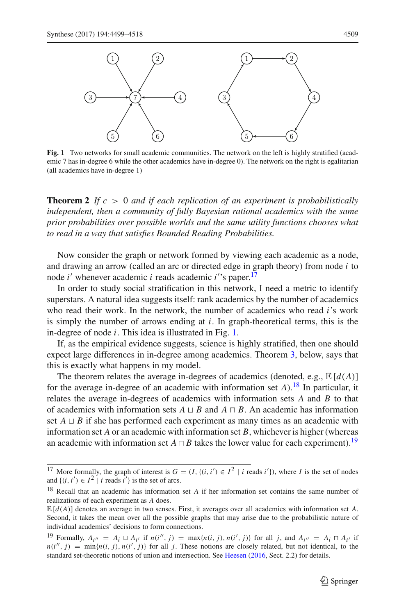

<span id="page-10-2"></span>**Fig. 1** Two networks for small academic communities. The network on the left is highly stratified (academic 7 has in-degree 6 while the other academics have in-degree 0). The network on the right is egalitarian (all academics have in-degree 1)

<span id="page-10-0"></span>**Theorem 2** *If c* > 0 *and if each replication of an experiment is probabilistically independent, then a community of fully Bayesian rational academics with the same prior probabilities over possible worlds and the same utility functions chooses what to read in a way that satisfies Bounded Reading Probabilities.*

Now consider the graph or network formed by viewing each academic as a node, and drawing an arrow (called an arc or directed edge in graph theory) from node *i* to node *i* whenever academic *i* reads academic *i* 's paper.[17](#page-10-1)

In order to study social stratification in this network, I need a metric to identify superstars. A natural idea suggests itself: rank academics by the number of academics who read their work. In the network, the number of academics who read *i*'s work is simply the number of arrows ending at *i*. In graph-theoretical terms, this is the in-degree of node *i*. This idea is illustrated in Fig. [1.](#page-10-2)

If, as the empirical evidence suggests, science is highly stratified, then one should expect large differences in in-degree among academics. Theorem [3,](#page-11-0) below, says that this is exactly what happens in my model.

The theorem relates the average in-degrees of academics (denoted, e.g.,  $\mathbb{E}[d(A)]$ ) for the average in-degree of an academic with information set  $A$ ).<sup>18</sup> In particular, it relates the average in-degrees of academics with information sets *A* and *B* to that of academics with information sets  $A \sqcup B$  and  $A \sqcap B$ . An academic has information set  $A \sqcup B$  if she has performed each experiment as many times as an academic with information set *A* or an academic with information set *B*, whichever is higher (whereas an academic with information set  $A \sqcap B$  takes the lower value for each experiment).<sup>[19](#page-10-4)</sup>

<span id="page-10-1"></span><sup>&</sup>lt;sup>17</sup> More formally, the graph of interest is  $G = (I, \{(i, i') \in I^2 \mid i \text{ reads } i'\})$ , where *I* is the set of nodes and  $\{(i, i') \in I^2 \mid i \text{ reads } i'\}$  is the set of arcs.

<span id="page-10-3"></span><sup>18</sup> Recall that an academic has information set *A* if her information set contains the same number of realizations of each experiment as *A* does.

 $\mathbb{E}[d(A)]$  denotes an average in two senses. First, it averages over all academics with information set *A*. Second, it takes the mean over all the possible graphs that may arise due to the probabilistic nature of individual academics' decisions to form connections.

<span id="page-10-4"></span><sup>19</sup> Formally,  $A_{i''} = A_i \sqcup A_{i'}$  if  $n(i'', j) = \max\{n(i, j), n(i', j)\}$  for all *j*, and  $A_{i''} = A_i \sqcap A_{i'}$  if  $n(i'', j) = \min\{n(i, j), n(i', j)\}\$  for all *j*. These notions are closely related, but not identical, to the standard set-theoretic notions of union and intersection. See [Heesen](#page-18-7) [\(2016,](#page-18-7) Sect. 2.2) for details.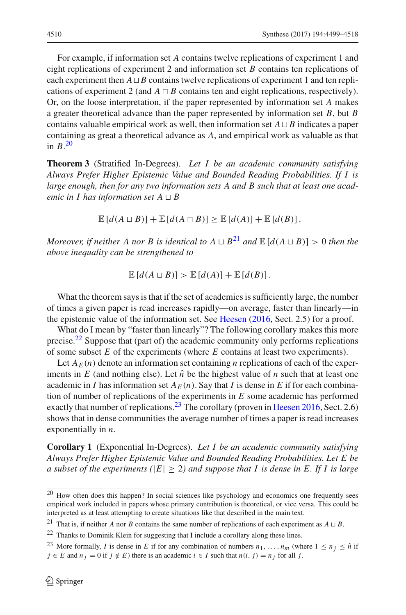For example, if information set *A* contains twelve replications of experiment 1 and eight replications of experiment 2 and information set *B* contains ten replications of each experiment then  $A \sqcup B$  contains twelve replications of experiment 1 and ten replications of experiment 2 (and  $A \sqcap B$  contains ten and eight replications, respectively). Or, on the loose interpretation, if the paper represented by information set *A* makes a greater theoretical advance than the paper represented by information set *B*, but *B* contains valuable empirical work as well, then information set  $A \sqcup B$  indicates a paper containing as great a theoretical advance as *A*, and empirical work as valuable as that in *B*. [20](#page-11-1)

<span id="page-11-0"></span>**Theorem 3** (Stratified In-Degrees). *Let I be an academic community satisfying Always Prefer Higher Epistemic Value and Bounded Reading Probabilities. If I is large enough, then for any two information sets A and B such that at least one academic in I has information set*  $A \sqcup B$ 

 $\mathbb{E}[d(A \sqcup B)] + \mathbb{E}[d(A \sqcap B)] \geq \mathbb{E}[d(A)] + \mathbb{E}[d(B)].$ 

*Moreover, if neither A nor B is identical to*  $A \sqcup B^{21}$  $A \sqcup B^{21}$  $A \sqcup B^{21}$  *and*  $\mathbb{E}[d(A \sqcup B)] > 0$  *then the above inequality can be strengthened to*

$$
\mathbb{E}[d(A\sqcup B)] > \mathbb{E}[d(A)] + \mathbb{E}[d(B)].
$$

What the theorem says is that if the set of academics is sufficiently large, the number of times a given paper is read increases rapidly—on average, faster than linearly—in the epistemic value of the information set. See [Heesen](#page-18-7) [\(2016,](#page-18-7) Sect. 2.5) for a proof.

What do I mean by "faster than linearly"? The following corollary makes this more precise.<sup>22</sup> Suppose that (part of) the academic community only performs replications of some subset *E* of the experiments (where *E* contains at least two experiments).

Let  $A_F(n)$  denote an information set containing *n* replications of each of the experiments in  $E$  (and nothing else). Let  $\hat{n}$  be the highest value of  $n$  such that at least one academic in *I* has information set  $A_E(n)$ . Say that *I* is dense in *E* if for each combination of number of replications of the experiments in *E* some academic has performed exactly that number of replications.<sup>[23](#page-11-4)</sup> The corollary (proven in [Heesen 2016,](#page-18-7) Sect. 2.6) shows that in dense communities the average number of times a paper is read increases exponentially in *n*.

**Corollary 1** (Exponential In-Degrees). *Let I be an academic community satisfying Always Prefer Higher Epistemic Value and Bounded Reading Probabilities. Let E be a subset of the experiments* ( $|E| \geq 2$ ) and suppose that *I* is dense in *E*. If *I* is large

<span id="page-11-1"></span><sup>&</sup>lt;sup>20</sup> How often does this happen? In social sciences like psychology and economics one frequently sees empirical work included in papers whose primary contribution is theoretical, or vice versa. This could be interpreted as at least attempting to create situations like that described in the main text.

<sup>&</sup>lt;sup>21</sup> That is, if neither *A* nor *B* contains the same number of replications of each experiment as  $A \sqcup B$ .

<span id="page-11-2"></span><sup>&</sup>lt;sup>22</sup> Thanks to Dominik Klein for suggesting that I include a corollary along these lines.

<span id="page-11-4"></span><span id="page-11-3"></span><sup>&</sup>lt;sup>23</sup> More formally, *I* is dense in *E* if for any combination of numbers  $n_1, \ldots, n_m$  (where  $1 \le n_j \le \hat{n}$  if *j* ∈ *E* and  $n_j$  = 0 if *j* ∉ *E*) there is an academic *i* ∈ *I* such that  $n(i, j) = n_j$  for all *j*.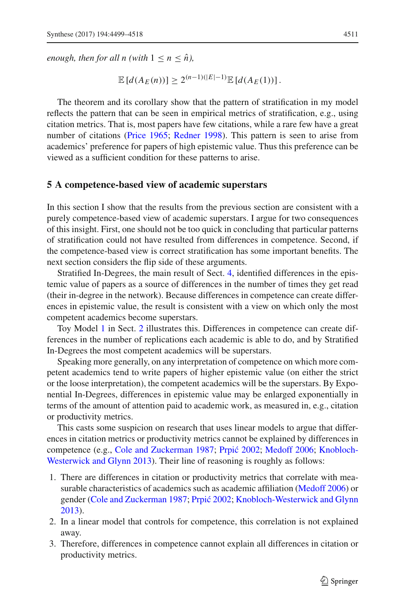*enough, then for all n (with*  $1 \le n \le \hat{n}$ ),

$$
\mathbb{E}\left[d(A_E(n))\right] \geq 2^{(n-1)(|E|-1)} \mathbb{E}\left[d(A_E(1))\right].
$$

The theorem and its corollary show that the pattern of stratification in my model reflects the pattern that can be seen in empirical metrics of stratification, e.g., using citation metrics. That is, most papers have few citations, while a rare few have a great number of citations [\(Price 1965;](#page-18-0) [Redner 1998\)](#page-19-0). This pattern is seen to arise from academics' preference for papers of high epistemic value. Thus this preference can be viewed as a sufficient condition for these patterns to arise.

#### <span id="page-12-0"></span>**5 A competence-based view of academic superstars**

In this section I show that the results from the previous section are consistent with a purely competence-based view of academic superstars. I argue for two consequences of this insight. First, one should not be too quick in concluding that particular patterns of stratification could not have resulted from differences in competence. Second, if the competence-based view is correct stratification has some important benefits. The next section considers the flip side of these arguments.

Stratified In-Degrees, the main result of Sect. [4,](#page-7-0) identified differences in the epistemic value of papers as a source of differences in the number of times they get read (their in-degree in the network). Because differences in competence can create differences in epistemic value, the result is consistent with a view on which only the most competent academics become superstars.

Toy Model [1](#page-1-3) in Sect. [2](#page-1-2) illustrates this. Differences in competence can create differences in the number of replications each academic is able to do, and by Stratified In-Degrees the most competent academics will be superstars.

Speaking more generally, on any interpretation of competence on which more competent academics tend to write papers of higher epistemic value (on either the strict or the loose interpretation), the competent academics will be the superstars. By Exponential In-Degrees, differences in epistemic value may be enlarged exponentially in terms of the amount of attention paid to academic work, as measured in, e.g., citation or productivity metrics.

This casts some suspicion on research that uses linear models to argue that differences in citation metrics or productivity metrics cannot be explained by differences in competence (e.g., [Cole and Zuckerman 1987](#page-18-14)[;](#page-18-15) Prpić 2002; [Medoff 2006;](#page-19-9) Knobloch-Westerwick and Glynn [2013](#page-18-15)). Their line of reasoning is roughly as follows:

- 1. There are differences in citation or productivity metrics that correlate with measurable characteristics of academics such as academic affiliation [\(Medoff 2006](#page-19-9)) or gender [\(Cole and Zuckerman 1987;](#page-18-14) Prpić 2002; [Knobloch-Westerwick and Glynn](#page-18-15) [2013\)](#page-18-15).
- 2. In a linear model that controls for competence, this correlation is not explained away.
- 3. Therefore, differences in competence cannot explain all differences in citation or productivity metrics.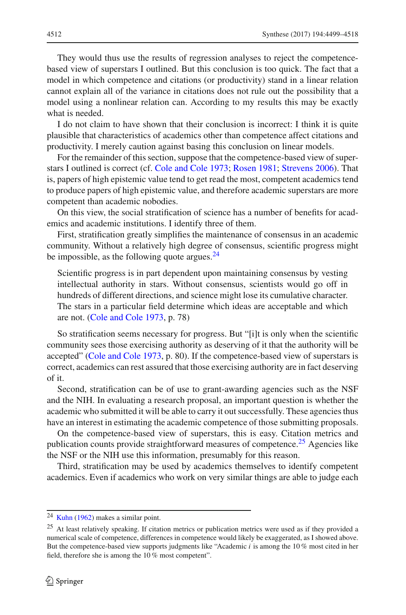They would thus use the results of regression analyses to reject the competencebased view of superstars I outlined. But this conclusion is too quick. The fact that a model in which competence and citations (or productivity) stand in a linear relation cannot explain all of the variance in citations does not rule out the possibility that a model using a nonlinear relation can. According to my results this may be exactly what is needed.

I do not claim to have shown that their conclusion is incorrect: I think it is quite plausible that characteristics of academics other than competence affect citations and productivity. I merely caution against basing this conclusion on linear models.

For the remainder of this section, suppose that the competence-based view of superstars I outlined is correct (cf. [Cole and Cole 1973](#page-18-1); [Rosen 1981;](#page-19-10) [Strevens 2006](#page-19-11)). That is, papers of high epistemic value tend to get read the most, competent academics tend to produce papers of high epistemic value, and therefore academic superstars are more competent than academic nobodies.

On this view, the social stratification of science has a number of benefits for academics and academic institutions. I identify three of them.

First, stratification greatly simplifies the maintenance of consensus in an academic community. Without a relatively high degree of consensus, scientific progress might be impossible, as the following quote argues. $^{24}$  $^{24}$  $^{24}$ 

Scientific progress is in part dependent upon maintaining consensus by vesting intellectual authority in stars. Without consensus, scientists would go off in hundreds of different directions, and science might lose its cumulative character. The stars in a particular field determine which ideas are acceptable and which are not. [\(Cole and Cole 1973](#page-18-1), p. 78)

So stratification seems necessary for progress. But "[i]t is only when the scientific community sees those exercising authority as deserving of it that the authority will be accepted" [\(Cole and Cole 1973,](#page-18-1) p. 80). If the competence-based view of superstars is correct, academics can rest assured that those exercising authority are in fact deserving of it.

Second, stratification can be of use to grant-awarding agencies such as the NSF and the NIH. In evaluating a research proposal, an important question is whether the academic who submitted it will be able to carry it out successfully. These agencies thus have an interest in estimating the academic competence of those submitting proposals.

On the competence-based view of superstars, this is easy. Citation metrics and publication counts provide straightforward measures of competence.<sup>[25](#page-13-1)</sup> Agencies like the NSF or the NIH use this information, presumably for this reason.

Third, stratification may be used by academics themselves to identify competent academics. Even if academics who work on very similar things are able to judge each

 $24$  [Kuhn](#page-18-16) [\(1962](#page-18-16)) makes a similar point.

<span id="page-13-1"></span><span id="page-13-0"></span><sup>&</sup>lt;sup>25</sup> At least relatively speaking. If citation metrics or publication metrics were used as if they provided a numerical scale of competence, differences in competence would likely be exaggerated, as I showed above. But the competence-based view supports judgments like "Academic *i* is among the 10 % most cited in her field, therefore she is among the 10 % most competent".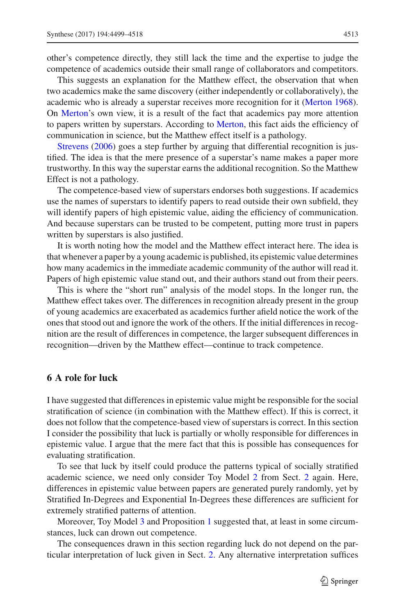other's competence directly, they still lack the time and the expertise to judge the competence of academics outside their small range of collaborators and competitors.

This suggests an explanation for the Matthew effect, the observation that when two academics make the same discovery (either independently or collaboratively), the academic who is already a superstar receives more recognition for it [\(Merton 1968](#page-19-12)). On [Merton'](#page-19-12)s own view, it is a result of the fact that academics pay more attention to papers written by superstars. According to [Merton,](#page-19-12) this fact aids the efficiency of communication in science, but the Matthew effect itself is a pathology.

Strevens [\(2006](#page-19-11)) goes a step further by arguing that differential recognition is justified. The idea is that the mere presence of a superstar's name makes a paper more trustworthy. In this way the superstar earns the additional recognition. So the Matthew Effect is not a pathology.

The competence-based view of superstars endorses both suggestions. If academics use the names of superstars to identify papers to read outside their own subfield, they will identify papers of high epistemic value, aiding the efficiency of communication. And because superstars can be trusted to be competent, putting more trust in papers written by superstars is also justified.

It is worth noting how the model and the Matthew effect interact here. The idea is that whenever a paper by a young academic is published, its epistemic value determines how many academics in the immediate academic community of the author will read it. Papers of high epistemic value stand out, and their authors stand out from their peers.

This is where the "short run" analysis of the model stops. In the longer run, the Matthew effect takes over. The differences in recognition already present in the group of young academics are exacerbated as academics further afield notice the work of the ones that stood out and ignore the work of the others. If the initial differences in recognition are the result of differences in competence, the larger subsequent differences in recognition—driven by the Matthew effect—continue to track competence.

## <span id="page-14-0"></span>**6 A role for luck**

I have suggested that differences in epistemic value might be responsible for the social stratification of science (in combination with the Matthew effect). If this is correct, it does not follow that the competence-based view of superstars is correct. In this section I consider the possibility that luck is partially or wholly responsible for differences in epistemic value. I argue that the mere fact that this is possible has consequences for evaluating stratification.

To see that luck by itself could produce the patterns typical of socially stratified academic science, we need only consider Toy Model [2](#page-2-2) from Sect. [2](#page-1-2) again. Here, differences in epistemic value between papers are generated purely randomly, yet by Stratified In-Degrees and Exponential In-Degrees these differences are sufficient for extremely stratified patterns of attention.

Moreover, Toy Model [3](#page-3-1) and Proposition [1](#page-3-0) suggested that, at least in some circumstances, luck can drown out competence.

The consequences drawn in this section regarding luck do not depend on the particular interpretation of luck given in Sect. [2.](#page-1-2) Any alternative interpretation suffices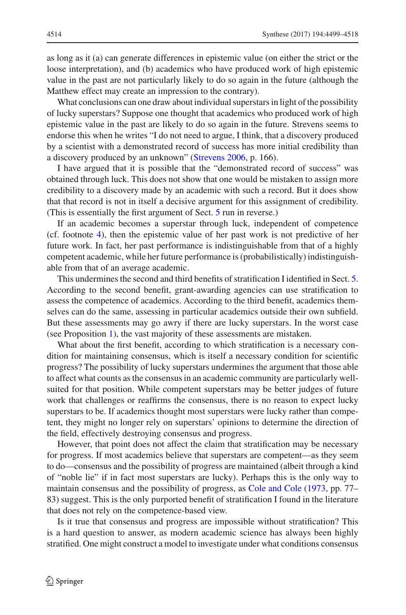as long as it (a) can generate differences in epistemic value (on either the strict or the loose interpretation), and (b) academics who have produced work of high epistemic value in the past are not particularly likely to do so again in the future (although the Matthew effect may create an impression to the contrary).

What conclusions can one draw about individual superstars in light of the possibility of lucky superstars? Suppose one thought that academics who produced work of high epistemic value in the past are likely to do so again in the future. Strevens seems to endorse this when he writes "I do not need to argue, I think, that a discovery produced by a scientist with a demonstrated record of success has more initial credibility than a discovery produced by an unknown" [\(Strevens 2006,](#page-19-11) p. 166).

I have argued that it is possible that the "demonstrated record of success" was obtained through luck. This does not show that one would be mistaken to assign more credibility to a discovery made by an academic with such a record. But it does show that that record is not in itself a decisive argument for this assignment of credibility. (This is essentially the first argument of Sect. [5](#page-12-0) run in reverse.)

If an academic becomes a superstar through luck, independent of competence (cf. footnote [4\)](#page-2-1), then the epistemic value of her past work is not predictive of her future work. In fact, her past performance is indistinguishable from that of a highly competent academic, while her future performance is (probabilistically) indistinguishable from that of an average academic.

This undermines the second and third benefits of stratification I identified in Sect. [5.](#page-12-0) According to the second benefit, grant-awarding agencies can use stratification to assess the competence of academics. According to the third benefit, academics themselves can do the same, assessing in particular academics outside their own subfield. But these assessments may go awry if there are lucky superstars. In the worst case (see Proposition [1\)](#page-3-0), the vast majority of these assessments are mistaken.

What about the first benefit, according to which stratification is a necessary condition for maintaining consensus, which is itself a necessary condition for scientific progress? The possibility of lucky superstars undermines the argument that those able to affect what counts as the consensus in an academic community are particularly wellsuited for that position. While competent superstars may be better judges of future work that challenges or reaffirms the consensus, there is no reason to expect lucky superstars to be. If academics thought most superstars were lucky rather than competent, they might no longer rely on superstars' opinions to determine the direction of the field, effectively destroying consensus and progress.

However, that point does not affect the claim that stratification may be necessary for progress. If most academics believe that superstars are competent—as they seem to do—consensus and the possibility of progress are maintained (albeit through a kind of "noble lie" if in fact most superstars are lucky). Perhaps this is the only way to maintain consensus and the possibility of progress, as [Cole and Cole](#page-18-1) [\(1973,](#page-18-1) pp. 77– 83) suggest. This is the only purported benefit of stratification I found in the literature that does not rely on the competence-based view.

Is it true that consensus and progress are impossible without stratification? This is a hard question to answer, as modern academic science has always been highly stratified. One might construct a model to investigate under what conditions consensus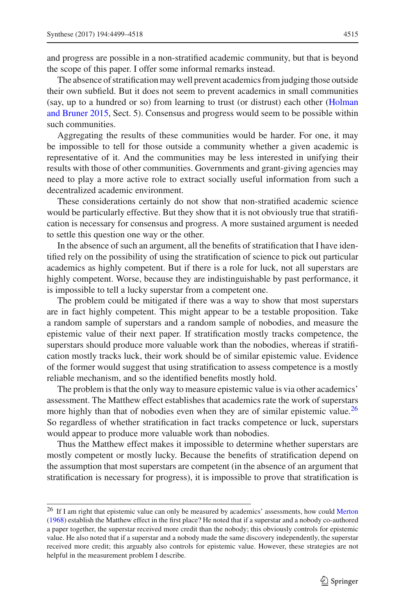and progress are possible in a non-stratified academic community, but that is beyond the scope of this paper. I offer some informal remarks instead.

The absence of stratification may well prevent academics from judging those outside their own subfield. But it does not seem to prevent academics in small communities (say, up to [a](#page-18-17) [hundred](#page-18-17) [or](#page-18-17) [so\)](#page-18-17) [from](#page-18-17) [learning](#page-18-17) [to](#page-18-17) [trust](#page-18-17) [\(or](#page-18-17) [distrust\)](#page-18-17) [each](#page-18-17) [other](#page-18-17) [\(](#page-18-17)Holman and Bruner [2015](#page-18-17), Sect. 5). Consensus and progress would seem to be possible within such communities.

Aggregating the results of these communities would be harder. For one, it may be impossible to tell for those outside a community whether a given academic is representative of it. And the communities may be less interested in unifying their results with those of other communities. Governments and grant-giving agencies may need to play a more active role to extract socially useful information from such a decentralized academic environment.

These considerations certainly do not show that non-stratified academic science would be particularly effective. But they show that it is not obviously true that stratification is necessary for consensus and progress. A more sustained argument is needed to settle this question one way or the other.

In the absence of such an argument, all the benefits of stratification that I have identified rely on the possibility of using the stratification of science to pick out particular academics as highly competent. But if there is a role for luck, not all superstars are highly competent. Worse, because they are indistinguishable by past performance, it is impossible to tell a lucky superstar from a competent one.

The problem could be mitigated if there was a way to show that most superstars are in fact highly competent. This might appear to be a testable proposition. Take a random sample of superstars and a random sample of nobodies, and measure the epistemic value of their next paper. If stratification mostly tracks competence, the superstars should produce more valuable work than the nobodies, whereas if stratification mostly tracks luck, their work should be of similar epistemic value. Evidence of the former would suggest that using stratification to assess competence is a mostly reliable mechanism, and so the identified benefits mostly hold.

The problem is that the only way to measure epistemic value is via other academics' assessment. The Matthew effect establishes that academics rate the work of superstars more highly than that of nobodies even when they are of similar epistemic value.<sup>[26](#page-16-0)</sup> So regardless of whether stratification in fact tracks competence or luck, superstars would appear to produce more valuable work than nobodies.

Thus the Matthew effect makes it impossible to determine whether superstars are mostly competent or mostly lucky. Because the benefits of stratification depend on the assumption that most superstars are competent (in the absence of an argument that stratification is necessary for progress), it is impossible to prove that stratification is

<span id="page-16-0"></span><sup>&</sup>lt;sup>26</sup> If I am right that epistemic value can only be measured by academics' assessments, how could [Merton](#page-19-12) [\(1968](#page-19-12)) establish the Matthew effect in the first place? He noted that if a superstar and a nobody co-authored a paper together, the superstar received more credit than the nobody; this obviously controls for epistemic value. He also noted that if a superstar and a nobody made the same discovery independently, the superstar received more credit; this arguably also controls for epistemic value. However, these strategies are not helpful in the measurement problem I describe.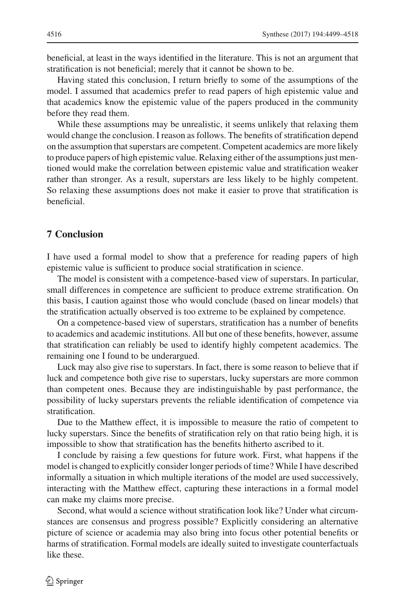beneficial, at least in the ways identified in the literature. This is not an argument that stratification is not beneficial; merely that it cannot be shown to be.

Having stated this conclusion, I return briefly to some of the assumptions of the model. I assumed that academics prefer to read papers of high epistemic value and that academics know the epistemic value of the papers produced in the community before they read them.

While these assumptions may be unrealistic, it seems unlikely that relaxing them would change the conclusion. I reason as follows. The benefits of stratification depend on the assumption that superstars are competent. Competent academics are more likely to produce papers of high epistemic value. Relaxing either of the assumptions just mentioned would make the correlation between epistemic value and stratification weaker rather than stronger. As a result, superstars are less likely to be highly competent. So relaxing these assumptions does not make it easier to prove that stratification is beneficial.

# **7 Conclusion**

I have used a formal model to show that a preference for reading papers of high epistemic value is sufficient to produce social stratification in science.

The model is consistent with a competence-based view of superstars. In particular, small differences in competence are sufficient to produce extreme stratification. On this basis, I caution against those who would conclude (based on linear models) that the stratification actually observed is too extreme to be explained by competence.

On a competence-based view of superstars, stratification has a number of benefits to academics and academic institutions. All but one of these benefits, however, assume that stratification can reliably be used to identify highly competent academics. The remaining one I found to be underargued.

Luck may also give rise to superstars. In fact, there is some reason to believe that if luck and competence both give rise to superstars, lucky superstars are more common than competent ones. Because they are indistinguishable by past performance, the possibility of lucky superstars prevents the reliable identification of competence via stratification.

Due to the Matthew effect, it is impossible to measure the ratio of competent to lucky superstars. Since the benefits of stratification rely on that ratio being high, it is impossible to show that stratification has the benefits hitherto ascribed to it.

I conclude by raising a few questions for future work. First, what happens if the model is changed to explicitly consider longer periods of time? While I have described informally a situation in which multiple iterations of the model are used successively, interacting with the Matthew effect, capturing these interactions in a formal model can make my claims more precise.

Second, what would a science without stratification look like? Under what circumstances are consensus and progress possible? Explicitly considering an alternative picture of science or academia may also bring into focus other potential benefits or harms of stratification. Formal models are ideally suited to investigate counterfactuals like these.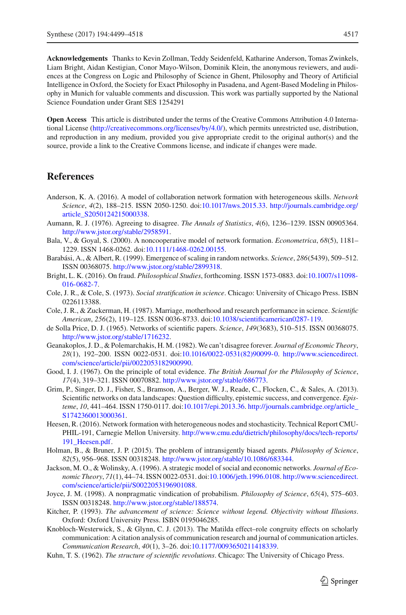**Acknowledgements** Thanks to Kevin Zollman, Teddy Seidenfeld, Katharine Anderson, Tomas Zwinkels, Liam Bright, Aidan Kestigian, Conor Mayo-Wilson, Dominik Klein, the anonymous reviewers, and audiences at the Congress on Logic and Philosophy of Science in Ghent, Philosophy and Theory of Artificial Intelligence in Oxford, the Society for Exact Philosophy in Pasadena, and Agent-Based Modeling in Philosophy in Munich for valuable comments and discussion. This work was partially supported by the National Science Foundation under Grant SES 1254291

**Open Access** This article is distributed under the terms of the Creative Commons Attribution 4.0 International License [\(http://creativecommons.org/licenses/by/4.0/\)](http://creativecommons.org/licenses/by/4.0/), which permits unrestricted use, distribution, and reproduction in any medium, provided you give appropriate credit to the original author(s) and the source, provide a link to the Creative Commons license, and indicate if changes were made.

# **References**

- <span id="page-18-5"></span>Anderson, K. A. (2016). A model of collaboration network formation with heterogeneous skills. *Network Science*, *4*(2), 188–215. ISSN 2050-1250. doi[:10.1017/nws.2015.33.](http://dx.doi.org/10.1017/nws.2015.33) [http://journals.cambridge.org/](http://journals.cambridge.org/article_S2050124215000338) [article\\_S2050124215000338.](http://journals.cambridge.org/article_S2050124215000338)
- <span id="page-18-8"></span>Aumann, R. J. (1976). Agreeing to disagree. *The Annals of Statistics*, *4*(6), 1236–1239. ISSN 00905364. [http://www.jstor.org/stable/2958591.](http://www.jstor.org/stable/2958591)
- <span id="page-18-6"></span>Bala, V., & Goyal, S. (2000). A noncooperative model of network formation. *Econometrica*, *68*(5), 1181– 1229. ISSN 1468-0262. doi[:10.1111/1468-0262.00155.](http://dx.doi.org/10.1111/1468-0262.00155)
- <span id="page-18-3"></span>Barabási, A., & Albert, R. (1999). Emergence of scaling in random networks. *Science*, *286*(5439), 509–512. ISSN 00368075. [http://www.jstor.org/stable/2899318.](http://www.jstor.org/stable/2899318)
- <span id="page-18-12"></span>Bright, L. K. (2016). On fraud. *Philosophical Studies*, forthcoming. ISSN 1573-0883. doi[:10.1007/s11098-](http://dx.doi.org/10.1007/s11098-016-0682-7) [016-0682-7.](http://dx.doi.org/10.1007/s11098-016-0682-7)
- <span id="page-18-1"></span>Cole, J. R., & Cole, S. (1973). *Social stratification in science*. Chicago: University of Chicago Press. ISBN 0226113388.
- <span id="page-18-14"></span>Cole, J. R., & Zuckerman, H. (1987). Marriage, motherhood and research performance in science. *Scientific American*, *256*(2), 119–125. ISSN 0036-8733. doi[:10.1038/scientificamerican0287-119.](http://dx.doi.org/10.1038/scientificamerican0287-119)
- <span id="page-18-0"></span>de Solla Price, D. J. (1965). Networks of scientific papers. *Science*, *149*(3683), 510–515. ISSN 00368075. [http://www.jstor.org/stable/1716232.](http://www.jstor.org/stable/1716232)
- <span id="page-18-9"></span>Geanakoplos, J. D., & Polemarchakis, H. M. (1982). We can't disagree forever. *Journal of Economic Theory*, *28*(1), 192–200. ISSN 0022-0531. doi[:10.1016/0022-0531\(82\)90099-0.](http://dx.doi.org/10.1016/0022-0531(82)90099-0) [http://www.sciencedirect.](http://www.sciencedirect.com/science/article/pii/0022053182900990) [com/science/article/pii/0022053182900990.](http://www.sciencedirect.com/science/article/pii/0022053182900990)
- <span id="page-18-13"></span>Good, I. J. (1967). On the principle of total evidence. *The British Journal for the Philosophy of Science*, *17*(4), 319–321. ISSN 00070882. [http://www.jstor.org/stable/686773.](http://www.jstor.org/stable/686773)
- <span id="page-18-4"></span>Grim, P., Singer, D. J., Fisher, S., Bramson, A., Berger, W. J., Reade, C., Flocken, C., & Sales, A. (2013). Scientific networks on data landscapes: Question difficulty, epistemic success, and convergence. *Episteme*, *10*, 441–464. ISSN 1750-0117. doi[:10.1017/epi.2013.36.](http://dx.doi.org/10.1017/epi.2013.36) [http://journals.cambridge.org/article\\_](http://journals.cambridge.org/article_S1742360013000361) [S1742360013000361.](http://journals.cambridge.org/article_S1742360013000361)
- <span id="page-18-7"></span>Heesen, R. (2016). Network formation with heterogeneous nodes and stochasticity. Technical Report CMU-PHIL-191, Carnegie Mellon University. [http://www.cmu.edu/dietrich/philosophy/docs/tech-reports/](http://www.cmu.edu/dietrich/philosophy/docs/tech-reports/191_Heesen.pdf) [191\\_Heesen.pdf.](http://www.cmu.edu/dietrich/philosophy/docs/tech-reports/191_Heesen.pdf)
- <span id="page-18-17"></span>Holman, B., & Bruner, J. P. (2015). The problem of intransigently biased agents. *Philosophy of Science*, *82*(5), 956–968. ISSN 00318248. [http://www.jstor.org/stable/10.1086/683344.](http://www.jstor.org/stable/10.1086/683344)
- <span id="page-18-2"></span>Jackson, M. O., & Wolinsky, A. (1996). A strategic model of social and economic networks. *Journal of Economic Theory*, *71*(1), 44–74. ISSN 0022-0531. doi[:10.1006/jeth.1996.0108.](http://dx.doi.org/10.1006/jeth.1996.0108) [http://www.sciencedirect.](http://www.sciencedirect.com/science/article/pii/S0022053196901088) [com/science/article/pii/S0022053196901088.](http://www.sciencedirect.com/science/article/pii/S0022053196901088)
- <span id="page-18-10"></span>Joyce, J. M. (1998). A nonpragmatic vindication of probabilism. *Philosophy of Science*, *65*(4), 575–603. ISSN 00318248. [http://www.jstor.org/stable/188574.](http://www.jstor.org/stable/188574)
- <span id="page-18-11"></span>Kitcher, P. (1993). *The advancement of science: Science without legend. Objectivity without Illusions*. Oxford: Oxford University Press. ISBN 0195046285.
- <span id="page-18-15"></span>Knobloch-Westerwick, S., & Glynn, C. J. (2013). The Matilda effect–role congruity effects on scholarly communication: A citation analysis of communication research and journal of communication articles. *Communication Research*, *40*(1), 3–26. doi[:10.1177/0093650211418339.](http://dx.doi.org/10.1177/0093650211418339)
- <span id="page-18-16"></span>Kuhn, T. S. (1962). *The structure of scientific revolutions*. Chicago: The University of Chicago Press.